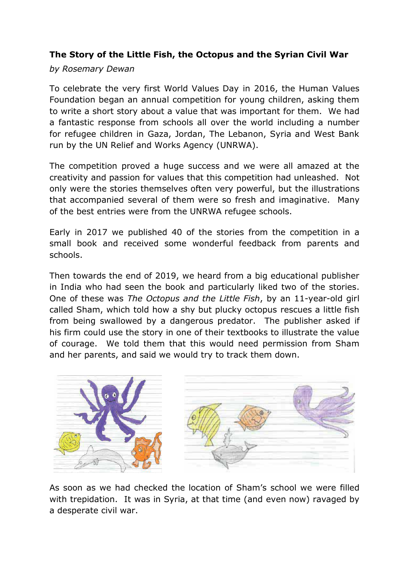## **The Story of the Little Fish, the Octopus and the Syrian Civil War**

## *by Rosemary Dewan*

To celebrate the very first World Values Day in 2016, the Human Values Foundation began an annual competition for young children, asking them to write a short story about a value that was important for them. We had a fantastic response from schools all over the world including a number for refugee children in Gaza, Jordan, The Lebanon, Syria and West Bank run by the UN Relief and Works Agency (UNRWA).

The competition proved a huge success and we were all amazed at the creativity and passion for values that this competition had unleashed. Not only were the stories themselves often very powerful, but the illustrations that accompanied several of them were so fresh and imaginative. Many of the best entries were from the UNRWA refugee schools.

Early in 2017 we published 40 of the stories from the competition in a small book and received some wonderful feedback from parents and schools.

Then towards the end of 2019, we heard from a big educational publisher in India who had seen the book and particularly liked two of the stories. One of these was *The Octopus and the Little Fish*, by an 11-year-old girl called Sham, which told how a shy but plucky octopus rescues a little fish from being swallowed by a dangerous predator. The publisher asked if his firm could use the story in one of their textbooks to illustrate the value of courage. We told them that this would need permission from Sham and her parents, and said we would try to track them down.



As soon as we had checked the location of Sham's school we were filled with trepidation. It was in Syria, at that time (and even now) ravaged by a desperate civil war.